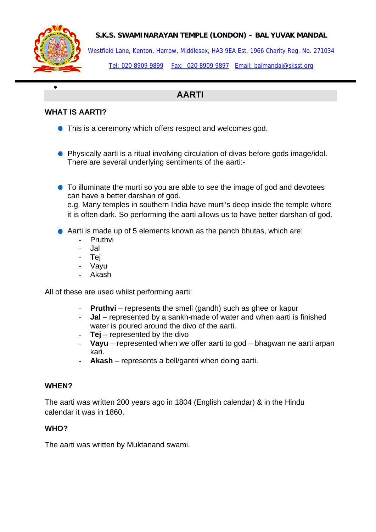

•

#### **S.K.S. SWAMINARAYAN TEMPLE (LONDON) – BAL YUVAK MANDAL**

Westfield Lane, Kenton, Harrow, Middlesex, HA3 9EA Est. 1966 Charity Reg. No. 271034

Tel: 020 8909 9899 Fax: 020 8909 9897 Email: balmandal@sksst.org

# **AARTI**

## **WHAT IS AARTI?**

- This is a ceremony which offers respect and welcomes god.
- **•** Physically aarti is a ritual involving circulation of divas before gods image/idol. There are several underlying sentiments of the aarti:-
- To illuminate the murti so you are able to see the image of god and devotees can have a better darshan of god. e.g. Many temples in southern India have murti's deep inside the temple where it is often dark. So performing the aarti allows us to have better darshan of god.
- Aarti is made up of 5 elements known as the panch bhutas, which are:
	- **Pruthvi**
	- Jal
	- Tej
	- Vayu
	- Akash

All of these are used whilst performing aarti:

- **Pruthvi** represents the smell (gandh) such as ghee or kapur
- **Jal** represented by a sankh-made of water and when aarti is finished water is poured around the divo of the aarti.
- **Tej** represented by the divo
- **Vayu** represented when we offer aarti to god bhagwan ne aarti arpan kari.
- Akash represents a bell/gantri when doing aarti.

#### **WHEN?**

The aarti was written 200 years ago in 1804 (English calendar) & in the Hindu calendar it was in 1860.

#### **WHO?**

The aarti was written by Muktanand swami.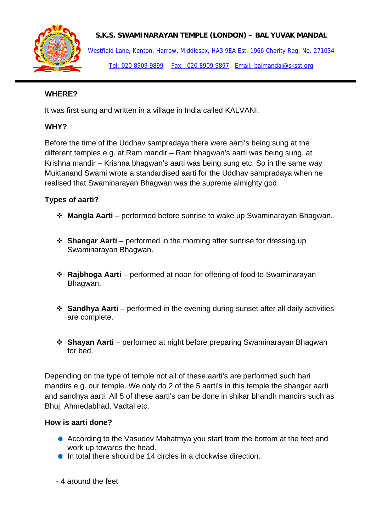

**S.K.S. SWAMINARAYAN TEMPLE (LONDON) – BAL YUVAK MANDAL** 

Westfield Lane, Kenton, Harrow, Middlesex, HA3 9EA Est. 1966 Charity Reg. No. 271034 Tel: 020 8909 9899 Fax: 020 8909 9897 Email: balmandal@sksst.org

#### **WHERE?**

It was first sung and written in a village in India called KALVANI.

## **WHY?**

Before the time of the Uddhav sampradaya there were aarti's being sung at the different temples e.g. at Ram mandir – Ram bhagwan's aarti was being sung, at Krishna mandir – Krishna bhagwan's aarti was being sung etc. So in the same way Muktanand Swami wrote a standardised aarti for the Uddhav sampradaya when he realised that Swaminarayan Bhagwan was the supreme almighty god.

## **Types of aarti?**

- **Mangla Aarti** performed before sunrise to wake up Swaminarayan Bhagwan.
- **Shangar Aarti** performed in the morning after sunrise for dressing up Swaminarayan Bhagwan.
- **Rajbhoga Aarti** performed at noon for offering of food to Swaminarayan Bhagwan.
- **Sandhya Aarti** performed in the evening during sunset after all daily activities are complete.
- **Shayan Aarti** performed at night before preparing Swaminarayan Bhagwan for bed.

Depending on the type of temple not all of these aarti's are performed such hari mandirs e.g. our temple. We only do 2 of the 5 aarti's in this temple the shangar aarti and sandhya aarti. All 5 of these aarti's can be done in shikar bhandh mandirs such as Bhuj, Ahmedabhad, Vadtal etc.

#### **How is aarti done?**

- According to the Vasudev Mahatmya you start from the bottom at the feet and work up towards the head.
- $\bullet$  In total there should be 14 circles in a clockwise direction.
- 4 around the feet